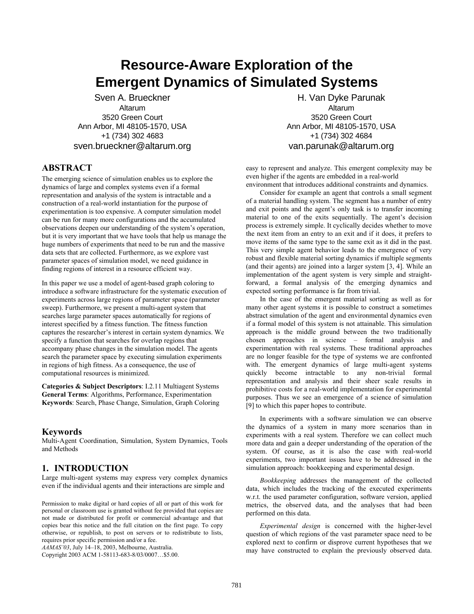# **Resource-Aware Exploration of the Emergent Dynamics of Simulated Systems**

Sven A. Brueckner Altarum 3520 Green Court Ann Arbor, MI 48105-1570, USA +1 (734) 302 4683 sven.brueckner@altarum.org

# **ABSTRACT**

The emerging science of simulation enables us to explore the dynamics of large and complex systems even if a formal representation and analysis of the system is intractable and a construction of a real-world instantiation for the purpose of experimentation is too expensive. A computer simulation model can be run for many more configurations and the accumulated observations deepen our understanding of the system's operation, but it is very important that we have tools that help us manage the huge numbers of experiments that need to be run and the massive data sets that are collected. Furthermore, as we explore vast parameter spaces of simulation model, we need guidance in finding regions of interest in a resource efficient way.

In this paper we use a model of agent-based graph coloring to introduce a software infrastructure for the systematic execution of experiments across large regions of parameter space (parameter sweep). Furthermore, we present a multi-agent system that searches large parameter spaces automatically for regions of interest specified by a fitness function. The fitness function captures the researcher's interest in certain system dynamics. We specify a function that searches for overlap regions that accompany phase changes in the simulation model. The agents search the parameter space by executing simulation experiments in regions of high fitness. As a consequence, the use of computational resources is minimized.

**Categories & Subject Descriptors**: I.2.11 Multiagent Systems **General Terms**: Algorithms, Performance, Experimentation **Keywords**: Search, Phase Change, Simulation, Graph Coloring

# **Keywords**

Multi-Agent Coordination, Simulation, System Dynamics, Tools and Methods

# **1. INTRODUCTION**

Large multi-agent systems may express very complex dynamics even if the individual agents and their interactions are simple and

Permission to make digital or hard copies of all or part of this work for personal or classroom use is granted without fee provided that copies are not made or distributed for profit or commercial advantage and that copies bear this notice and the full citation on the first page. To copy otherwise, or republish, to post on servers or to redistribute to lists, requires prior specific permission and/or a fee.

*AAMAS'03*, July 14–18, 2003, Melbourne, Australia.

Copyright 2003 ACM 1-58113-683-8/03/0007…\$5.00.

H. Van Dyke Parunak Altarum 3520 Green Court Ann Arbor, MI 48105-1570, USA +1 (734) 302 4684 van.parunak@altarum.org

easy to represent and analyze. This emergent complexity may be even higher if the agents are embedded in a real-world environment that introduces additional constraints and dynamics.

Consider for example an agent that controls a small segment of a material handling system. The segment has a number of entry and exit points and the agent's only task is to transfer incoming material to one of the exits sequentially. The agent's decision process is extremely simple. It cyclically decides whether to move the next item from an entry to an exit and if it does, it prefers to move items of the same type to the same exit as it did in the past. This very simple agent behavior leads to the emergence of very robust and flexible material sorting dynamics if multiple segments (and their agents) are joined into a larger system [3, 4]. While an implementation of the agent system is very simple and straightforward, a formal analysis of the emerging dynamics and expected sorting performance is far from trivial.

In the case of the emergent material sorting as well as for many other agent systems it is possible to construct a sometimes abstract simulation of the agent and environmental dynamics even if a formal model of this system is not attainable. This simulation approach is the middle ground between the two traditionally chosen approaches in science – formal analysis and experimentation with real systems. These traditional approaches are no longer feasible for the type of systems we are confronted with. The emergent dynamics of large multi-agent systems quickly become intractable to any non-trivial formal representation and analysis and their sheer scale results in prohibitive costs for a real-world implementation for experimental purposes. Thus we see an emergence of a science of simulation [9] to which this paper hopes to contribute.

In experiments with a software simulation we can observe the dynamics of a system in many more scenarios than in experiments with a real system. Therefore we can collect much more data and gain a deeper understanding of the operation of the system. Of course, as it is also the case with real-world experiments, two important issues have to be addressed in the simulation approach: bookkeeping and experimental design.

*Bookkeeping* addresses the management of the collected data, which includes the tracking of the executed experiments w.r.t. the used parameter configuration, software version, applied metrics, the observed data, and the analyses that had been performed on this data.

*Experimental design* is concerned with the higher-level question of which regions of the vast parameter space need to be explored next to confirm or disprove current hypotheses that we may have constructed to explain the previously observed data.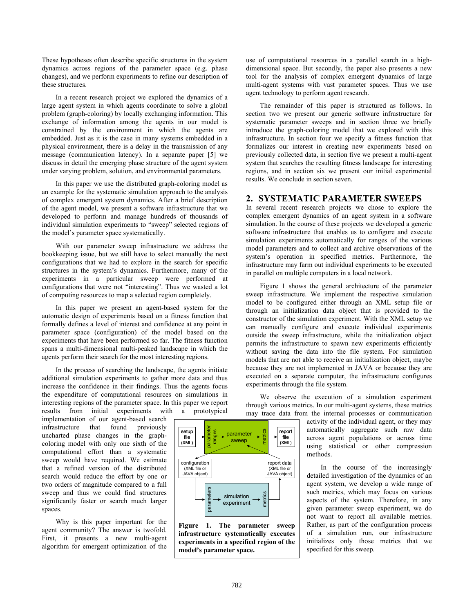These hypotheses often describe specific structures in the system dynamics across regions of the parameter space (e.g. phase changes), and we perform experiments to refine our description of these structures.

In a recent research project we explored the dynamics of a large agent system in which agents coordinate to solve a global problem (graph-coloring) by locally exchanging information. This exchange of information among the agents in our model is constrained by the environment in which the agents are embedded. Just as it is the case in many systems embedded in a physical environment, there is a delay in the transmission of any message (communication latency). In a separate paper [5] we discuss in detail the emerging phase structure of the agent system under varying problem, solution, and environmental parameters.

In this paper we use the distributed graph-coloring model as an example for the systematic simulation approach to the analysis of complex emergent system dynamics. After a brief description of the agent model, we present a software infrastructure that we developed to perform and manage hundreds of thousands of individual simulation experiments to "sweep" selected regions of the model's parameter space systematically.

With our parameter sweep infrastructure we address the bookkeeping issue, but we still have to select manually the next configurations that we had to explore in the search for specific structures in the system's dynamics. Furthermore, many of the experiments in a particular sweep were performed at configurations that were not "interesting". Thus we wasted a lot of computing resources to map a selected region completely.

In this paper we present an agent-based system for the automatic design of experiments based on a fitness function that formally defines a level of interest and confidence at any point in parameter space (configuration) of the model based on the experiments that have been performed so far. The fitness function spans a multi-dimensional multi-peaked landscape in which the agents perform their search for the most interesting regions.

In the process of searching the landscape, the agents initiate additional simulation experiments to gather more data and thus increase the confidence in their findings. Thus the agents focus the expenditure of computational resources on simulations in interesting regions of the parameter space. In this paper we report results from initial experiments with a prototypical

implementation of our agent-based search infrastructure that found previously uncharted phase changes in the graphcoloring model with only one sixth of the computational effort than a systematic sweep would have required. We estimate that a refined version of the distributed search would reduce the effort by one or two orders of magnitude compared to a full sweep and thus we could find structures significantly faster or search much larger spaces.

Why is this paper important for the agent community? The answer is twofold. First, it presents a new multi-agent algorithm for emergent optimization of the use of computational resources in a parallel search in a highdimensional space. But secondly, the paper also presents a new tool for the analysis of complex emergent dynamics of large multi-agent systems with vast parameter spaces. Thus we use agent technology to perform agent research.

The remainder of this paper is structured as follows. In section two we present our generic software infrastructure for systematic parameter sweeps and in section three we briefly introduce the graph-coloring model that we explored with this infrastructure. In section four we specify a fitness function that formalizes our interest in creating new experiments based on previously collected data, in section five we present a multi-agent system that searches the resulting fitness landscape for interesting regions, and in section six we present our initial experimental results. We conclude in section seven.

## **2. SYSTEMATIC PARAMETER SWEEPS**

In several recent research projects we chose to explore the complex emergent dynamics of an agent system in a software simulation. In the course of these projects we developed a generic software infrastructure that enables us to configure and execute simulation experiments automatically for ranges of the various model parameters and to collect and archive observations of the system's operation in specified metrics. Furthermore, the infrastructure may farm out individual experiments to be executed in parallel on multiple computers in a local network.

Figure 1 shows the general architecture of the parameter sweep infrastructure. We implement the respective simulation model to be configured either through an XML setup file or through an initialization data object that is provided to the constructor of the simulation experiment. With the XML setup we can manually configure and execute individual experiments outside the sweep infrastructure, while the initialization object permits the infrastructure to spawn new experiments efficiently without saving the data into the file system. For simulation models that are not able to receive an initialization object, maybe because they are not implemented in JAVA or because they are executed on a separate computer, the infrastructure configures experiments through the file system.

We observe the execution of a simulation experiment through various metrics. In our multi-agent systems, these metrics may trace data from the internal processes or communication

> activity of the individual agent, or they may automatically aggregate such raw data across agent populations or across time using statistical or other compression methods.

> In the course of the increasingly detailed investigation of the dynamics of an agent system, we develop a wide range of such metrics, which may focus on various aspects of the system. Therefore, in any given parameter sweep experiment, we do not want to report all available metrics. Rather, as part of the configuration process of a simulation run, our infrastructure initializes only those metrics that we specified for this sweep.



parameter

report

setup file

**model's parameter space.**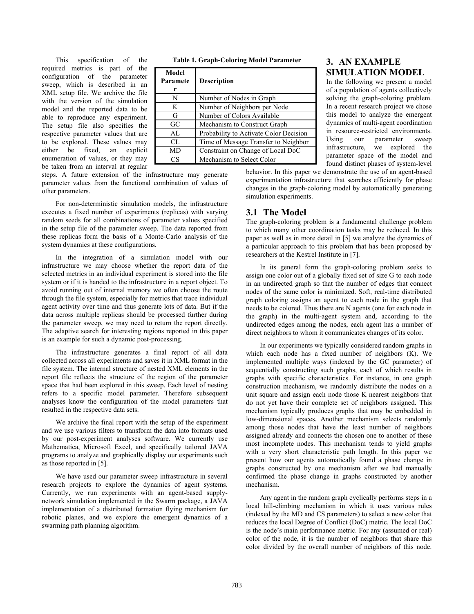This specification of the required metrics is part of the configuration of the parameter sweep, which is described in an XML setup file. We archive the file with the version of the simulation model and the reported data to be able to reproduce any experiment. The setup file also specifies the respective parameter values that are to be explored. These values may either be fixed, an explicit enumeration of values, or they may be taken from an interval at regular

| Model<br>Paramete<br>r | <b>Description</b>                     |
|------------------------|----------------------------------------|
| N                      | Number of Nodes in Graph               |
| K                      | Number of Neighbors per Node           |
| G                      | Number of Colors Available             |
| GC                     | Mechanism to Construct Graph           |
| AI.                    | Probability to Activate Color Decision |
| CL.                    | Time of Message Transfer to Neighbor   |
| MD                     | Constraint on Change of Local DoC      |
| CS                     | Mechanism to Select Color              |

**Table 1. Graph-Coloring Model Parameter** 

steps. A future extension of the infrastructure may generate parameter values from the functional combination of values of other parameters.

For non-deterministic simulation models, the infrastructure executes a fixed number of experiments (replicas) with varying random seeds for all combinations of parameter values specified in the setup file of the parameter sweep. The data reported from these replicas form the basis of a Monte-Carlo analysis of the system dynamics at these configurations.

In the integration of a simulation model with our infrastructure we may choose whether the report data of the selected metrics in an individual experiment is stored into the file system or if it is handed to the infrastructure in a report object. To avoid running out of internal memory we often choose the route through the file system, especially for metrics that trace individual agent activity over time and thus generate lots of data. But if the data across multiple replicas should be processed further during the parameter sweep, we may need to return the report directly. The adaptive search for interesting regions reported in this paper is an example for such a dynamic post-processing.

The infrastructure generates a final report of all data collected across all experiments and saves it in XML format in the file system. The internal structure of nested XML elements in the report file reflects the structure of the region of the parameter space that had been explored in this sweep. Each level of nesting refers to a specific model parameter. Therefore subsequent analyses know the configuration of the model parameters that resulted in the respective data sets.

We archive the final report with the setup of the experiment and we use various filters to transform the data into formats used by our post-experiment analyses software. We currently use Mathematica, Microsoft Excel, and specifically tailored JAVA programs to analyze and graphically display our experiments such as those reported in [5].

We have used our parameter sweep infrastructure in several research projects to explore the dynamics of agent systems. Currently, we run experiments with an agent-based supplynetwork simulation implemented in the Swarm package, a JAVA implementation of a distributed formation flying mechanism for robotic planes, and we explore the emergent dynamics of a swarming path planning algorithm.

| 3. AN EXAMPLE           |
|-------------------------|
| <b>SIMULATION MODEL</b> |

In the following we present a model of a population of agents collectively solving the graph-coloring problem. In a recent research project we chose this model to analyze the emergent dynamics of multi-agent coordination in resource-restricted environments. Using our parameter sweep infrastructure, we explored the parameter space of the model and found distinct phases of system-level

behavior. In this paper we demonstrate the use of an agent-based experimentation infrastructure that searches efficiently for phase changes in the graph-coloring model by automatically generating simulation experiments.

# **3.1 The Model**

The graph-coloring problem is a fundamental challenge problem to which many other coordination tasks may be reduced. In this paper as well as in more detail in [5] we analyze the dynamics of a particular approach to this problem that has been proposed by researchers at the Kestrel Institute in [7].

In its general form the graph-coloring problem seeks to assign one color out of a globally fixed set of size G to each node in an undirected graph so that the number of edges that connect nodes of the same color is minimized. Soft, real-time distributed graph coloring assigns an agent to each node in the graph that needs to be colored. Thus there are N agents (one for each node in the graph) in the multi-agent system and, according to the undirected edges among the nodes, each agent has a number of direct neighbors to whom it communicates changes of its color.

In our experiments we typically considered random graphs in which each node has a fixed number of neighbors (K). We implemented multiple ways (indexed by the GC parameter) of sequentially constructing such graphs, each of which results in graphs with specific characteristics. For instance, in one graph construction mechanism, we randomly distribute the nodes on a unit square and assign each node those K nearest neighbors that do not yet have their complete set of neighbors assigned. This mechanism typically produces graphs that may be embedded in low-dimensional spaces. Another mechanism selects randomly among those nodes that have the least number of neighbors assigned already and connects the chosen one to another of these most incomplete nodes. This mechanism tends to yield graphs with a very short characteristic path length. In this paper we present how our agents automatically found a phase change in graphs constructed by one mechanism after we had manually confirmed the phase change in graphs constructed by another mechanism.

Any agent in the random graph cyclically performs steps in a local hill-climbing mechanism in which it uses various rules (indexed by the MD and CS parameters) to select a new color that reduces the local Degree of Conflict (DoC) metric. The local DoC is the node's main performance metric. For any (assumed or real) color of the node, it is the number of neighbors that share this color divided by the overall number of neighbors of this node.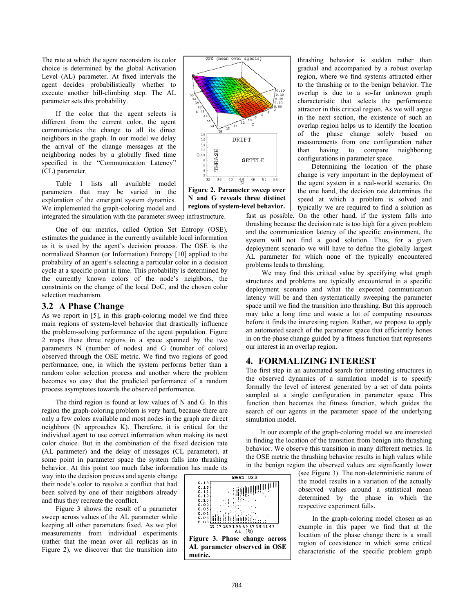The rate at which the agent reconsiders its color choice is determined by the global Activation Level (AL) parameter. At fixed intervals the agent decides probabilistically whether to execute another hill-climbing step. The AL parameter sets this probability.

If the color that the agent selects is different from the current color, the agent communicates the change to all its direct neighbors in the graph. In our model we delay the arrival of the change messages at the neighboring nodes by a globally fixed time specified in the "Communication Latency" (CL) parameter.

Table 1 lists all available model parameters that may be varied in the exploration of the emergent system dynamics. We implemented the graph-coloring model and integrated the simulation with the parameter sweep infrastructure.

One of our metrics, called Option Set Entropy (OSE), estimates the guidance in the currently available local information as it is used by the agent's decision process. The OSE is the normalized Shannon (or Information) Entropy [10] applied to the probability of an agent's selecting a particular color in a decision cycle at a specific point in time. This probability is determined by the currently known colors of the node's neighbors, the constraints on the change of the local DoC, and the chosen color selection mechanism.

#### **3.2 A Phase Change**

As we report in [5], in this graph-coloring model we find three main regions of system-level behavior that drastically influence the problem-solving performance of the agent population. Figure 2 maps these three regions in a space spanned by the two parameters N (number of nodes) and G (number of colors) observed through the OSE metric. We find two regions of good performance, one, in which the system performs better than a random color selection process and another where the problem becomes so easy that the predicted performance of a random process asymptotes towards the observed performance.

The third region is found at low values of N and G. In this region the graph-coloring problem is very hard, because there are only a few colors available and most nodes in the graph are direct neighbors (N approaches K). Therefore, it is critical for the individual agent to use correct information when making its next color choice. But in the combination of the fixed decision rate (AL parameter) and the delay of messages (CL parameter), at some point in parameter space the system falls into thrashing behavior. At this point too much false information has made its

way into the decision process and agents change their node's color to resolve a conflict that had been solved by one of their neighbors already and thus they recreate the conflict.

Figure 3 shows the result of a parameter sweep across values of the AL parameter while keeping all other parameters fixed. As we plot measurements from individual experiments (rather that the mean over all replicas as in Figure 2), we discover that the transition into



thrashing behavior is sudden rather than gradual and accompanied by a robust overlap region, where we find systems attracted either to the thrashing or to the benign behavior. The overlap is due to a so-far unknown graph characteristic that selects the performance attractor in this critical region. As we will argue in the next section, the existence of such an overlap region helps us to identify the location of the phase change solely based on measurements from one configuration rather than having to compare neighboring configurations in parameter space.

Determining the location of the phase change is very important in the deployment of the agent system in a real-world scenario. On the one hand, the decision rate determines the speed at which a problem is solved and typically we are required to find a solution as fast as possible. On the other hand, if the system falls into thrashing because the decision rate is too high for a given problem and the communication latency of the specific environment, the system will not find a good solution. Thus, for a given deployment scenario we will have to define the globally largest AL parameter for which none of the typically encountered problems leads to thrashing.

 We may find this critical value by specifying what graph structures and problems are typically encountered in a specific deployment scenario and what the expected communication latency will be and then systematically sweeping the parameter space until we find the transition into thrashing. But this approach may take a long time and waste a lot of computing resources before it finds the interesting region. Rather, we propose to apply an automated search of the parameter space that efficiently hones in on the phase change guided by a fitness function that represents our interest in an overlap region.

## **4. FORMALIZING INTEREST**

The first step in an automated search for interesting structures in the observed dynamics of a simulation model is to specify formally the level of interest generated by a set of data points sampled at a single configuration in parameter space. This function then becomes the fitness function, which guides the search of our agents in the parameter space of the underlying simulation model.

In our example of the graph-coloring model we are interested in finding the location of the transition from benign into thrashing behavior. We observe this transition in many different metrics. In the OSE metric the thrashing behavior results in high values while in the benign region the observed values are significantly lower

> (see Figure 3). The non-deterministic nature of the model results in a variation of the actually observed values around a statistical mean determined by the phase in which the respective experiment falls.

> In the graph-coloring model chosen as an example in this paper we find that at the location of the phase change there is a small region of coexistence in which some critical characteristic of the specific problem graph

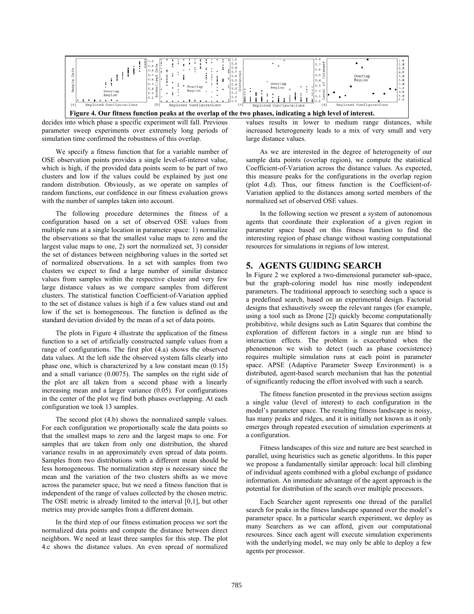

decides into which phase a specific experiment will fall. Previous parameter sweep experiments over extremely long periods of simulation time confirmed the robustness of this overlap.

We specify a fitness function that for a variable number of OSE observation points provides a single level-of-interest value, which is high, if the provided data points seem to be part of two clusters and low if the values could be explained by just one random distribution. Obviously, as we operate on samples of random functions, our confidence in our fitness evaluation grows with the number of samples taken into account.

The following procedure determines the fitness of a configuration based on a set of observed OSE values from multiple runs at a single location in parameter space: 1) normalize the observations so that the smallest value maps to zero and the largest value maps to one, 2) sort the normalized set, 3) consider the set of distances between neighboring values in the sorted set of normalized observations. In a set with samples from two clusters we expect to find a large number of similar distance values from samples within the respective cluster and very few large distance values as we compare samples from different clusters. The statistical function Coefficient-of-Variation applied to the set of distance values is high if a few values stand out and low if the set is homogeneous. The function is defined as the standard deviation divided by the mean of a set of data points.

The plots in Figure 4 illustrate the application of the fitness function to a set of artificially constructed sample values from a range of configurations. The first plot (4.a) shows the observed data values. At the left side the observed system falls clearly into phase one, which is characterized by a low constant mean (0.15) and a small variance (0.0075). The samples on the right side of the plot are all taken from a second phase with a linearly increasing mean and a larger variance (0.05). For configurations in the center of the plot we find both phases overlapping. At each configuration we took 13 samples.

The second plot (4.b) shows the normalized sample values. For each configuration we proportionally scale the data points so that the smallest maps to zero and the largest maps to one. For samples that are taken from only one distribution, the shared variance results in an approximately even spread of data points. Samples from two distributions with a different mean should be less homogeneous. The normalization step is necessary since the mean and the variation of the two clusters shifts as we move across the parameter space, but we need a fitness function that is independent of the range of values collected by the chosen metric. The OSE metric is already limited to the interval [0,1], but other metrics may provide samples from a different domain.

In the third step of our fitness estimation process we sort the normalized data points and compute the distance between direct neighbors. We need at least three samples for this step. The plot 4.c shows the distance values. An even spread of normalized

values results in lower to medium range distances, while increased heterogeneity leads to a mix of very small and very large distance values.

As we are interested in the degree of heterogeneity of our sample data points (overlap region), we compute the statistical Coefficient-of-Variation across the distance values. As expected, this measure peaks for the configurations in the overlap region (plot 4.d). Thus, our fitness function is the Coefficient-of-Variation applied to the distances among sorted members of the normalized set of observed OSE values.

In the following section we present a system of autonomous agents that coordinate their exploration of a given region in parameter space based on this fitness function to find the interesting region of phase change without wasting computational resources for simulations in regions of low interest.

## **5. AGENTS GUIDING SEARCH**

In Figure 2 we explored a two-dimensional parameter sub-space, but the graph-coloring model has nine mostly independent parameters. The traditional approach to searching such a space is a predefined search, based on an experimental design. Factorial designs that exhaustively sweep the relevant ranges (for example, using a tool such as Drone [2]) quickly become computationally prohibitive, while designs such as Latin Squares that combine the exploration of different factors in a single run are blind to interaction effects. The problem is exacerbated when the phenomenon we wish to detect (such as phase coexistence) requires multiple simulation runs at each point in parameter space. APSE (Adaptive Parameter Sweep Environment) is a distributed, agent-based search mechanism that has the potential of significantly reducing the effort involved with such a search.

The fitness function presented in the previous section assigns a single value (level of interest) to each configuration in the model's parameter space. The resulting fitness landscape is noisy, has many peaks and ridges, and it is initially not known as it only emerges through repeated execution of simulation experiments at a configuration.

Fitness landscapes of this size and nature are best searched in parallel, using heuristics such as genetic algorithms. In this paper we propose a fundamentally similar approach: local hill climbing of individual agents combined with a global exchange of guidance information. An immediate advantage of the agent approach is the potential for distribution of the search over multiple processors.

Each Searcher agent represents one thread of the parallel search for peaks in the fitness landscape spanned over the model's parameter space. In a particular search experiment, we deploy as many Searchers as we can afford, given our computational resources. Since each agent will execute simulation experiments with the underlying model, we may only be able to deploy a few agents per processor.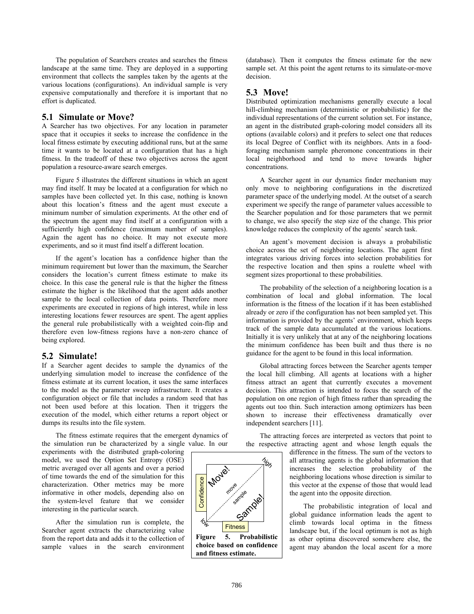The population of Searchers creates and searches the fitness landscape at the same time. They are deployed in a supporting environment that collects the samples taken by the agents at the various locations (configurations). An individual sample is very expensive computationally and therefore it is important that no effort is duplicated.

#### **5.1 Simulate or Move?**

A Searcher has two objectives. For any location in parameter space that it occupies it seeks to increase the confidence in the local fitness estimate by executing additional runs, but at the same time it wants to be located at a configuration that has a high fitness. In the tradeoff of these two objectives across the agent population a resource-aware search emerges.

Figure 5 illustrates the different situations in which an agent may find itself. It may be located at a configuration for which no samples have been collected yet. In this case, nothing is known about this location's fitness and the agent must execute a minimum number of simulation experiments. At the other end of the spectrum the agent may find itself at a configuration with a sufficiently high confidence (maximum number of samples). Again the agent has no choice. It may not execute more experiments, and so it must find itself a different location.

If the agent's location has a confidence higher than the minimum requirement but lower than the maximum, the Searcher considers the location's current fitness estimate to make its choice. In this case the general rule is that the higher the fitness estimate the higher is the likelihood that the agent adds another sample to the local collection of data points. Therefore more experiments are executed in regions of high interest, while in less interesting locations fewer resources are spent. The agent applies the general rule probabilistically with a weighted coin-flip and therefore even low-fitness regions have a non-zero chance of being explored.

## **5.2 Simulate!**

If a Searcher agent decides to sample the dynamics of the underlying simulation model to increase the confidence of the fitness estimate at its current location, it uses the same interfaces to the model as the parameter sweep infrastructure. It creates a configuration object or file that includes a random seed that has not been used before at this location. Then it triggers the execution of the model, which either returns a report object or dumps its results into the file system.

The fitness estimate requires that the emergent dynamics of the simulation run be characterized by a single value. In our

experiments with the distributed graph-coloring model, we used the Option Set Entropy (OSE) metric averaged over all agents and over a period of time towards the end of the simulation for this characterization. Other metrics may be more informative in other models, depending also on the system-level feature that we consider interesting in the particular search.

After the simulation run is complete, the Searcher agent extracts the characterizing value from the report data and adds it to the collection of sample values in the search environment (database). Then it computes the fitness estimate for the new sample set. At this point the agent returns to its simulate-or-move decision.

#### **5.3 Move!**

Distributed optimization mechanisms generally execute a local hill-climbing mechanism (deterministic or probabilistic) for the individual representations of the current solution set. For instance, an agent in the distributed graph-coloring model considers all its options (available colors) and it prefers to select one that reduces its local Degree of Conflict with its neighbors. Ants in a foodforaging mechanism sample pheromone concentrations in their local neighborhood and tend to move towards higher concentrations.

A Searcher agent in our dynamics finder mechanism may only move to neighboring configurations in the discretized parameter space of the underlying model. At the outset of a search experiment we specify the range of parameter values accessible to the Searcher population and for those parameters that we permit to change, we also specify the step size of the change. This prior knowledge reduces the complexity of the agents' search task.

An agent's movement decision is always a probabilistic choice across the set of neighboring locations. The agent first integrates various driving forces into selection probabilities for the respective location and then spins a roulette wheel with segment sizes proportional to these probabilities.

The probability of the selection of a neighboring location is a combination of local and global information. The local information is the fitness of the location if it has been established already or zero if the configuration has not been sampled yet. This information is provided by the agents' environment, which keeps track of the sample data accumulated at the various locations. Initially it is very unlikely that at any of the neighboring locations the minimum confidence has been built and thus there is no guidance for the agent to be found in this local information.

Global attracting forces between the Searcher agents temper the local hill climbing. All agents at locations with a higher fitness attract an agent that currently executes a movement decision. This attraction is intended to focus the search of the population on one region of high fitness rather than spreading the agents out too thin. Such interaction among optimizers has been shown to increase their effectiveness dramatically over independent searchers [11].

The attracting forces are interpreted as vectors that point to the respective attracting agent and whose length equals the

difference in the fitness. The sum of the vectors to all attracting agents is the global information that increases the selection probability of the neighboring locations whose direction is similar to this vector at the expense of those that would lead the agent into the opposite direction.

The probabilistic integration of local and global guidance information leads the agent to climb towards local optima in the fitness landscape but, if the local optimum is not as high as other optima discovered somewhere else, the agent may abandon the local ascent for a more

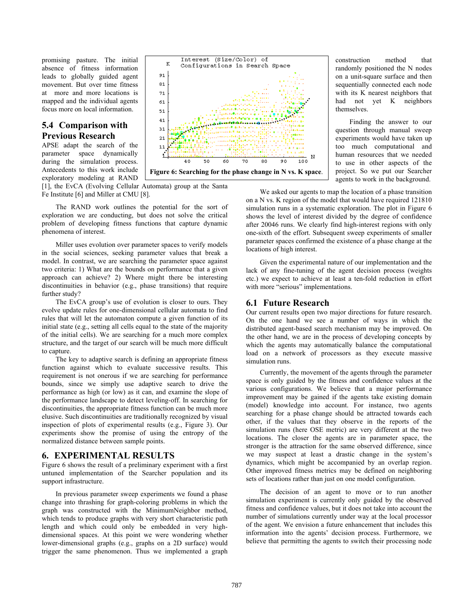promising pasture. The initial absence of fitness information leads to globally guided agent movement. But over time fitness at more and more locations is mapped and the individual agents focus more on local information.

# **5.4 Comparison with Previous Research**

APSE adapt the search of the parameter space dynamically during the simulation process. Antecedents to this work include exploratory modeling at RAND



[1], the EvCA (Evolving Cellular Automata) group at the Santa Fe Institute [6] and Miller at CMU [8].

The RAND work outlines the potential for the sort of exploration we are conducting, but does not solve the critical problem of developing fitness functions that capture dynamic phenomena of interest.

Miller uses evolution over parameter spaces to verify models in the social sciences, seeking parameter values that break a model. In contrast, we are searching the parameter space against two criteria: 1) What are the bounds on performance that a given approach can achieve? 2) Where might there be interesting discontinuities in behavior (e.g., phase transitions) that require further study?

The EvCA group's use of evolution is closer to ours. They evolve update rules for one-dimensional cellular automata to find rules that will let the automaton compute a given function of its initial state (e.g., setting all cells equal to the state of the majority of the initial cells). We are searching for a much more complex structure, and the target of our search will be much more difficult to capture.

The key to adaptive search is defining an appropriate fitness function against which to evaluate successive results. This requirement is not onerous if we are searching for performance bounds, since we simply use adaptive search to drive the performance as high (or low) as it can, and examine the slope of the performance landscape to detect leveling-off. In searching for discontinuities, the appropriate fitness function can be much more elusive. Such discontinuities are traditionally recognized by visual inspection of plots of experimental results (e.g., Figure 3). Our experiments show the promise of using the entropy of the normalized distance between sample points.

## **6. EXPERIMENTAL RESULTS**

Figure 6 shows the result of a preliminary experiment with a first untuned implementation of the Searcher population and its support infrastructure.

In previous parameter sweep experiments we found a phase change into thrashing for graph-coloring problems in which the graph was constructed with the MinimumNeighbor method, which tends to produce graphs with very short characteristic path length and which could only be embedded in very highdimensional spaces. At this point we were wondering whether lower-dimensional graphs (e.g., graphs on a 2D surface) would trigger the same phenomenon. Thus we implemented a graph

construction method that randomly positioned the N nodes on a unit-square surface and then sequentially connected each node with its K nearest neighbors that had not yet K neighbors themselves.

Finding the answer to our question through manual sweep experiments would have taken up too much computational and human resources that we needed to use in other aspects of the project. So we put our Searcher agents to work in the background.

We asked our agents to map the location of a phase transition on a N vs. K region of the model that would have required 121810 simulation runs in a systematic exploration. The plot in Figure 6 shows the level of interest divided by the degree of confidence after 20046 runs. We clearly find high-interest regions with only one-sixth of the effort. Subsequent sweep experiments of smaller parameter spaces confirmed the existence of a phase change at the locations of high interest.

Given the experimental nature of our implementation and the lack of any fine-tuning of the agent decision process (weights etc.) we expect to achieve at least a ten-fold reduction in effort with more "serious" implementations.

#### **6.1 Future Research**

Our current results open two major directions for future research. On the one hand we see a number of ways in which the distributed agent-based search mechanism may be improved. On the other hand, we are in the process of developing concepts by which the agents may automatically balance the computational load on a network of processors as they execute massive simulation runs.

Currently, the movement of the agents through the parameter space is only guided by the fitness and confidence values at the various configurations. We believe that a major performance improvement may be gained if the agents take existing domain (model) knowledge into account. For instance, two agents searching for a phase change should be attracted towards each other, if the values that they observe in the reports of the simulation runs (here OSE metric) are very different at the two locations. The closer the agents are in parameter space, the stronger is the attraction for the same observed difference, since we may suspect at least a drastic change in the system's dynamics, which might be accompanied by an overlap region. Other improved fitness metrics may be defined on neighboring sets of locations rather than just on one model configuration.

The decision of an agent to move or to run another simulation experiment is currently only guided by the observed fitness and confidence values, but it does not take into account the number of simulations currently under way at the local processor of the agent. We envision a future enhancement that includes this information into the agents' decision process. Furthermore, we believe that permitting the agents to switch their processing node